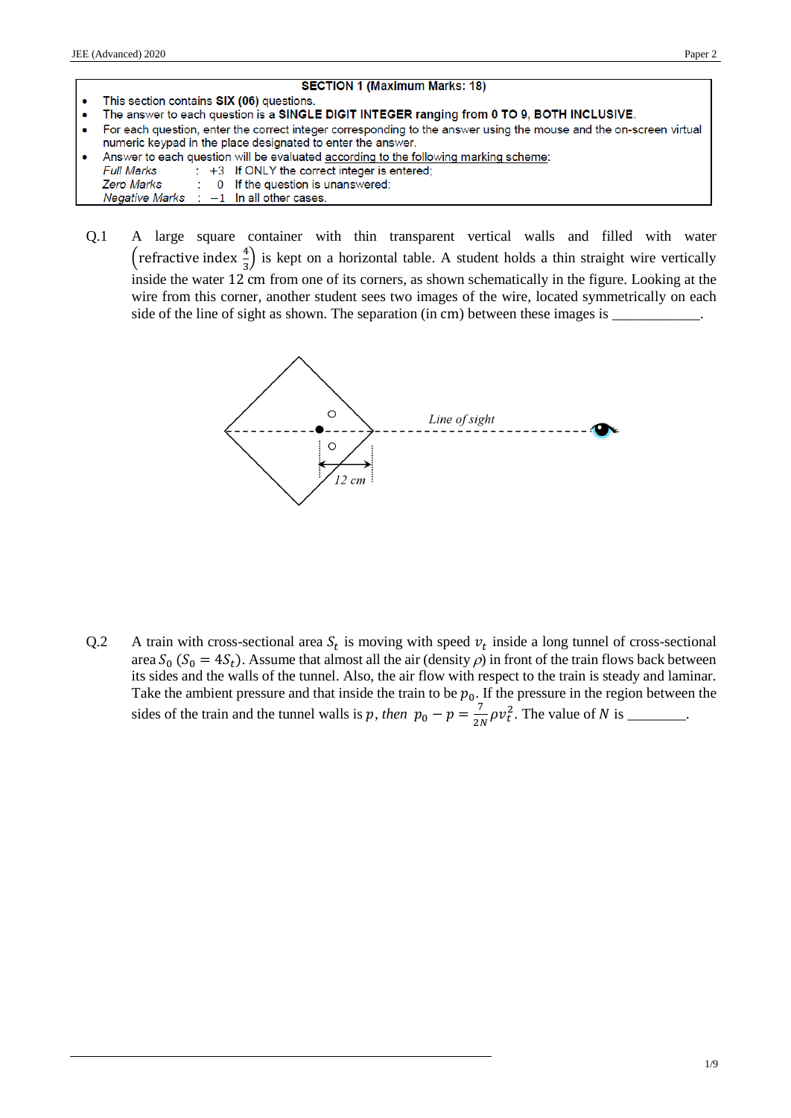- **SECTION 1 (Maximum Marks: 18)** This section contains SIX (06) questions. The answer to each question is a SINGLE DIGIT INTEGER ranging from 0 TO 9, BOTH INCLUSIVE.  $\blacksquare$ For each question, enter the correct integer corresponding to the answer using the mouse and the on-screen virtual  $\overline{\phantom{a}}$ numeric keypad in the place designated to enter the answer. Answer to each question will be evaluated according to the following marking scheme: **Full Marks** : +3 If ONLY the correct integer is entered; 0 If the question is unanswered; **Zero Marks Negative Marks**  $-1$  In all other cases.
- Q.1 A large square container with thin transparent vertical walls and filled with water (refractive index  $\frac{4}{3}$ ) is kept on a horizontal table. A student holds a thin straight wire vertically inside the water 12 cm from one of its corners, as shown schematically in the figure. Looking at the wire from this corner, another student sees two images of the wire, located symmetrically on each side of the line of sight as shown. The separation (in cm) between these images is \_



Q.2 A train with cross-sectional area  $S_t$  is moving with speed  $v_t$  inside a long tunnel of cross-sectional area  $S_0$  ( $S_0 = 4S_t$ ). Assume that almost all the air (density  $\rho$ ) in front of the train flows back between its sides and the walls of the tunnel. Also, the air flow with respect to the train is steady and laminar. Take the ambient pressure and that inside the train to be  $p_0$ . If the pressure in the region between the sides of the train and the tunnel walls is p, then  $p_0 - p = \frac{7}{2l}$  $\frac{7}{2N}\rho v_t^2$ . The value of N is \_\_\_\_\_\_\_.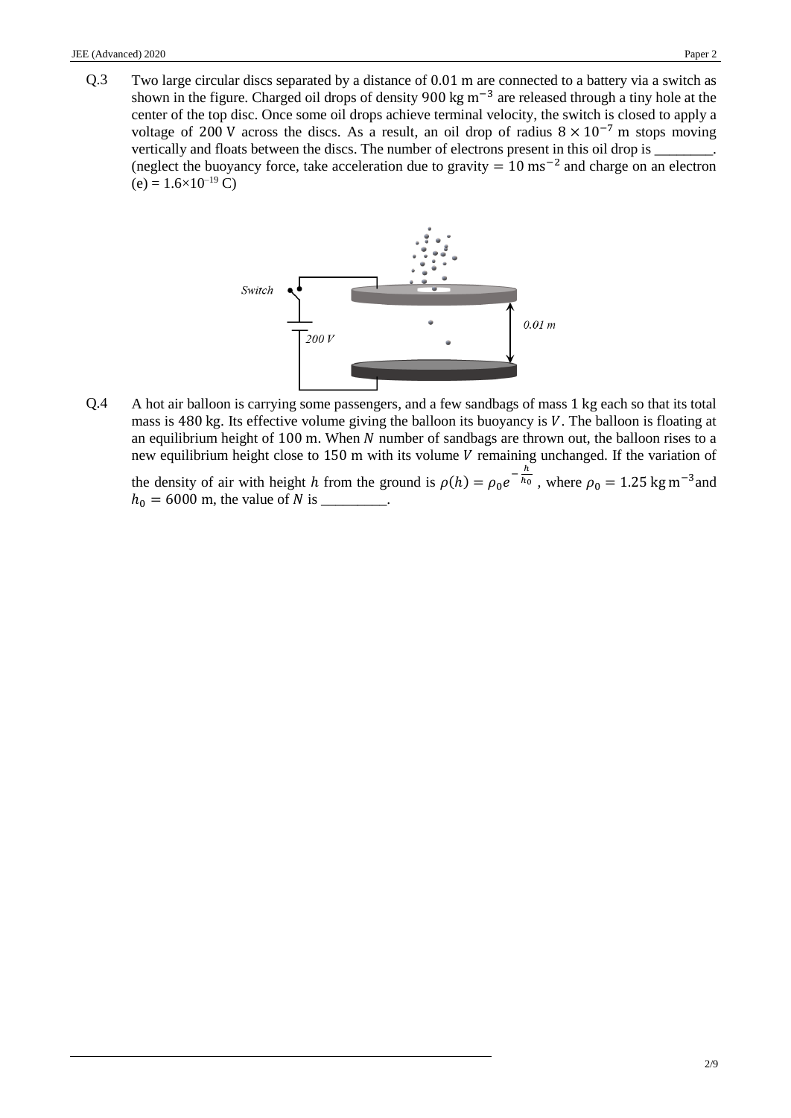Q.3 Two large circular discs separated by a distance of 0.01 m are connected to a battery via a switch as shown in the figure. Charged oil drops of density 900 kg m<sup>-3</sup> are released through a tiny hole at the center of the top disc. Once some oil drops achieve terminal velocity, the switch is closed to apply a voltage of 200 V across the discs. As a result, an oil drop of radius  $8 \times 10^{-7}$  m stops moving vertically and floats between the discs. The number of electrons present in this oil drop is (neglect the buoyancy force, take acceleration due to gravity  $= 10 \text{ ms}^{-2}$  and charge on an electron  $(e) = 1.6 \times 10^{-19}$  C)



Q.4 A hot air balloon is carrying some passengers, and a few sandbags of mass 1 kg each so that its total mass is 480 kg. Its effective volume giving the balloon its buoyancy is  $V$ . The balloon is floating at an equilibrium height of 100 m. When  $N$  number of sandbags are thrown out, the balloon rises to a new equilibrium height close to  $150$  m with its volume  $V$  remaining unchanged. If the variation of

the density of air with height *h* from the ground is  $\rho(h) = \rho_0 e^{-\frac{h}{h_0}}$ , where  $\rho_0 = 1.25 \text{ kg m}^{-3}$  and  $h_0 = 6000$  m, the value of N is \_\_\_\_\_\_\_\_.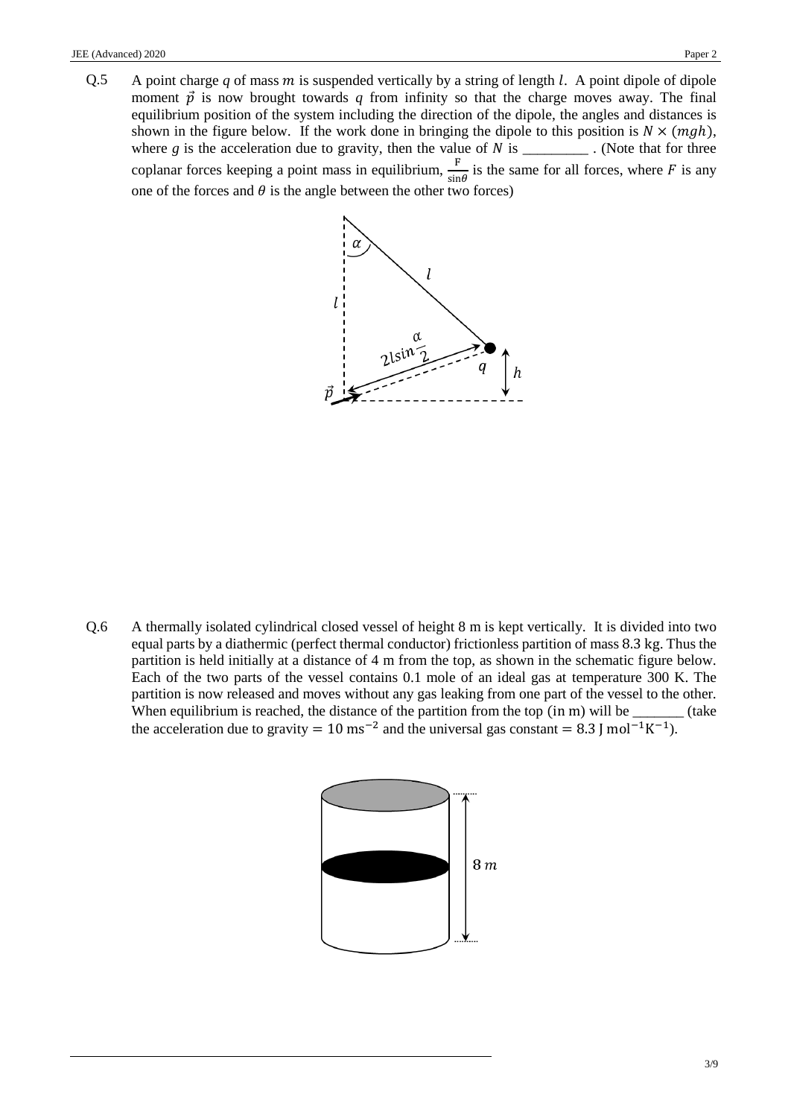Q.5 A point charge *q* of mass *m* is suspended vertically by a string of length *l*. A point dipole of dipole moment  $\vec{p}$  is now brought towards q from infinity so that the charge moves away. The final equilibrium position of the system including the direction of the dipole, the angles and distances is shown in the figure below. If the work done in bringing the dipole to this position is  $N \times (mgh)$ , where  $g$  is the acceleration due to gravity, then the value of  $N$  is  $\_\_\_\_\_\_\_\_\_\$ . (Note that for three coplanar forces keeping a point mass in equilibrium,  $\frac{F}{\sigma}$  $\frac{F}{\sin \theta}$  is the same for all forces, where F is any one of the forces and  $\theta$  is the angle between the other two forces)



Q.6 A thermally isolated cylindrical closed vessel of height 8 m is kept vertically. It is divided into two equal parts by a diathermic (perfect thermal conductor) frictionless partition of mass 8.3 kg. Thus the partition is held initially at a distance of 4 m from the top, as shown in the schematic figure below. Each of the two parts of the vessel contains 0.1 mole of an ideal gas at temperature 300 K. The partition is now released and moves without any gas leaking from one part of the vessel to the other. When equilibrium is reached, the distance of the partition from the top (in m) will be \_\_\_\_\_\_\_ (take the acceleration due to gravity = 10 ms<sup>-2</sup> and the universal gas constant = 8.3 J mol<sup>-1</sup>K<sup>-1</sup>).

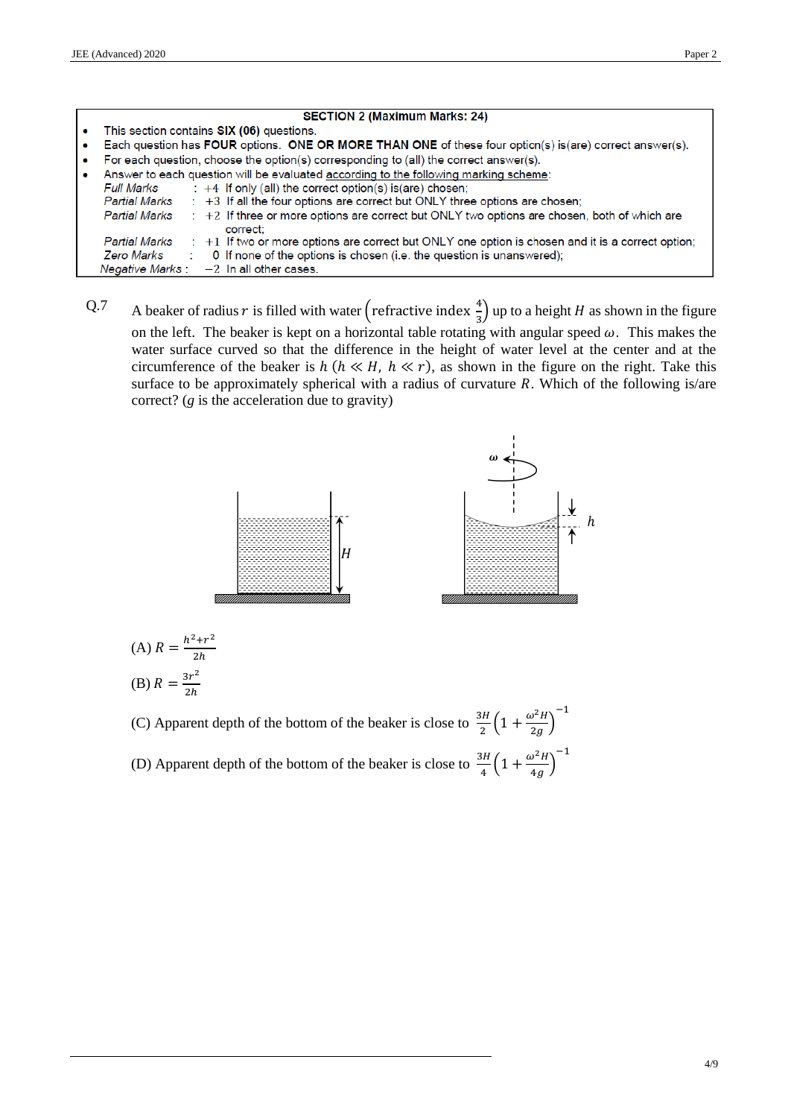|           | <b>SECTION 2 (Maximum Marks: 24)</b>                                                                                             |
|-----------|----------------------------------------------------------------------------------------------------------------------------------|
|           | This section contains SIX (06) questions.                                                                                        |
| $\bullet$ | Each question has FOUR options. ONE OR MORE THAN ONE of these four option(s) is(are) correct answer(s).                          |
|           | For each question, choose the option(s) corresponding to (all) the correct answer(s).                                            |
|           | Answer to each question will be evaluated according to the following marking scheme:                                             |
|           | $\div$ +4 If only (all) the correct option(s) is(are) chosen;<br>Full Marks                                                      |
|           | $\div$ +3 If all the four options are correct but ONLY three options are chosen;<br>Partial Marks                                |
|           | : +2 If three or more options are correct but ONLY two options are chosen, both of which are<br><b>Partial Marks</b><br>correct: |
|           | : +1 If two or more options are correct but ONLY one option is chosen and it is a correct option;<br><b>Partial Marks</b>        |
|           | 0 If none of the options is chosen (i.e. the question is unanswered);<br>Zero Marks                                              |
|           | Negative Marks : $-2$ In all other cases.                                                                                        |

Q.7 A beaker of radius r is filled with water (refractive index  $\frac{4}{3}$ ) up to a height H as shown in the figure on the left. The beaker is kept on a horizontal table rotating with angular speed  $\omega$ . This makes the water surface curved so that the difference in the height of water level at the center and at the circumference of the beaker is  $h (h \ll H, h \ll r)$ , as shown in the figure on the right. Take this surface to be approximately spherical with a radius of curvature  $R$ . Which of the following is/are correct? (*g* is the acceleration due to gravity)



(A) 
$$
R = \frac{h^2 + r^2}{2h}
$$
  
(B) 
$$
R = \frac{3r^2}{2h}
$$

(C) Apparent depth of the bottom of the beaker is close to  $\frac{3H}{2} \left(1 + \frac{\omega^2 H}{2g}\right)$  $\frac{g}{2g}$ ) −1 (D) Apparent depth of the bottom of the beaker is close to  $\frac{3H}{4} \left(1 + \frac{\omega^2 H}{4g}\right)$  $\frac{1}{4g}$ −1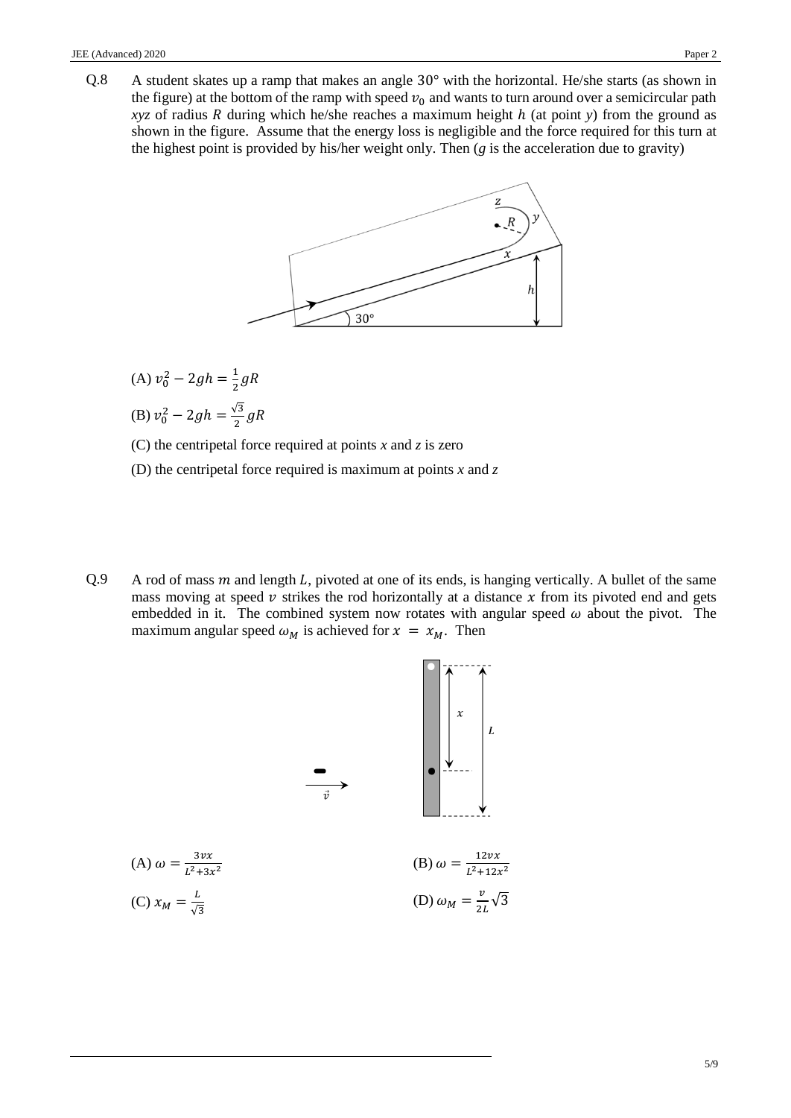Q.8 A student skates up a ramp that makes an angle 30° with the horizontal. He/she starts (as shown in the figure) at the bottom of the ramp with speed  $v_0$  and wants to turn around over a semicircular path *xyz* of radius R during which he/she reaches a maximum height  $h$  (at point  $y$ ) from the ground as shown in the figure. Assume that the energy loss is negligible and the force required for this turn at the highest point is provided by his/her weight only. Then (*g* is the acceleration due to gravity)



(A)  $v_0^2 - 2gh = \frac{1}{2}$  $rac{1}{2} gR$ (B)  $v_0^2 - 2gh = \frac{\sqrt{3}}{2}$  $\frac{y}{2}gR$ 

(C) the centripetal force required at points *x* and *z* is zero

- (D) the centripetal force required is maximum at points *x* and *z*
- Q.9 A rod of mass  $m$  and length  $L$ , pivoted at one of its ends, is hanging vertically. A bullet of the same mass moving at speed  $\nu$  strikes the rod horizontally at a distance  $\chi$  from its pivoted end and gets embedded in it. The combined system now rotates with angular speed  $\omega$  about the pivot. The maximum angular speed  $\omega_M$  is achieved for  $x = x_M$ . Then

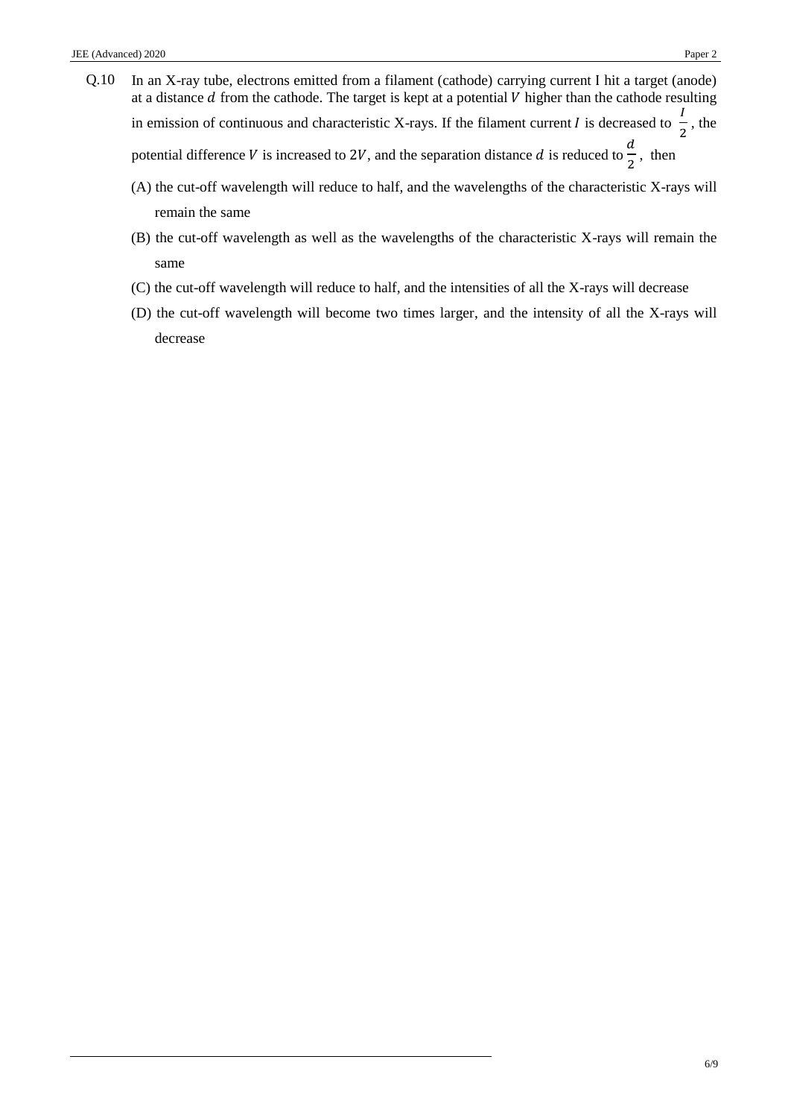- Q.10 In an X-ray tube, electrons emitted from a filament (cathode) carrying current I hit a target (anode) at a distance  $d$  from the cathode. The target is kept at a potential  $V$  higher than the cathode resulting in emission of continuous and characteristic X-rays. If the filament current *I* is decreased to  $\frac{I}{2}$  $\frac{1}{2}$ , the potential difference V is increased to 2V, and the separation distance d is reduced to  $\frac{d}{d}$  $\frac{1}{2}$ , then
	- (A) the cut-off wavelength will reduce to half, and the wavelengths of the characteristic X-rays will remain the same
	- (B) the cut-off wavelength as well as the wavelengths of the characteristic X-rays will remain the same
	- (C) the cut-off wavelength will reduce to half, and the intensities of all the X-rays will decrease
	- (D) the cut-off wavelength will become two times larger, and the intensity of all the X-rays will decrease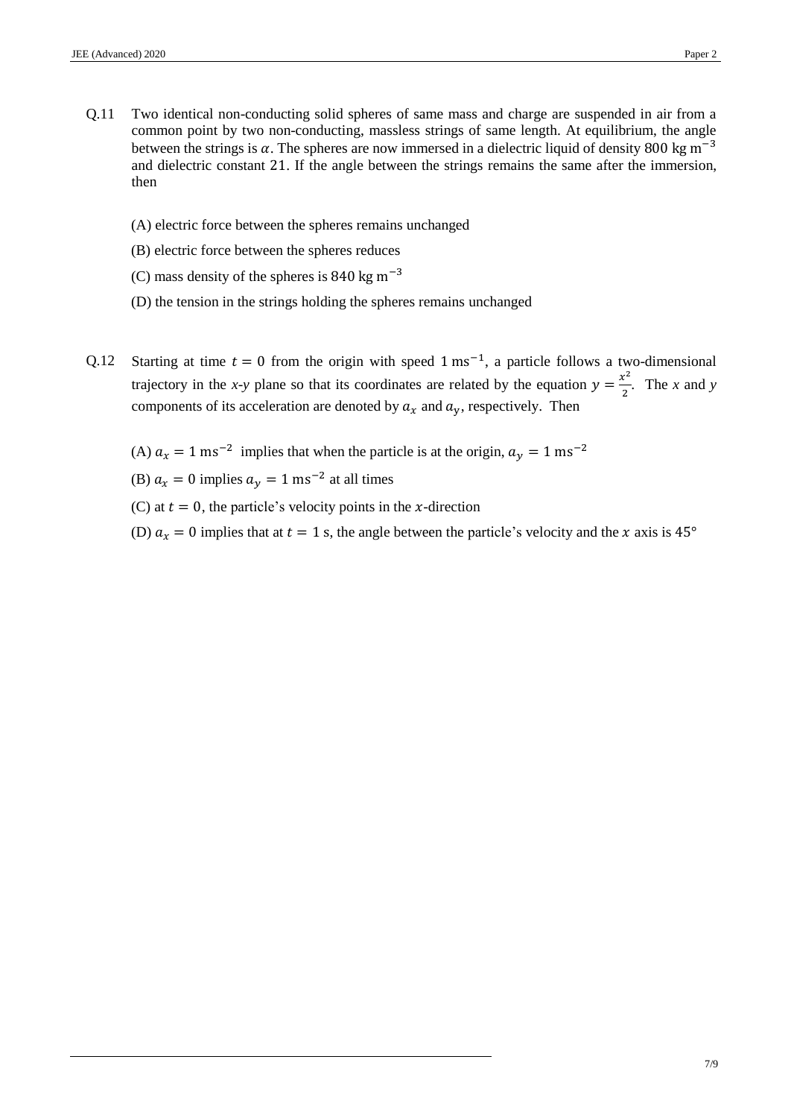- Q.11 Two identical non-conducting solid spheres of same mass and charge are suspended in air from a common point by two non-conducting, massless strings of same length. At equilibrium, the angle between the strings is  $\alpha$ . The spheres are now immersed in a dielectric liquid of density 800 kg m<sup>-3</sup> and dielectric constant 21. If the angle between the strings remains the same after the immersion, then
	- (A) electric force between the spheres remains unchanged
	- (B) electric force between the spheres reduces
	- (C) mass density of the spheres is 840 kg m−3
	- (D) the tension in the strings holding the spheres remains unchanged
- Q.12 Starting at time  $t = 0$  from the origin with speed 1 ms<sup>-1</sup>, a particle follows a two-dimensional trajectory in the *x*-*y* plane so that its coordinates are related by the equation  $y = \frac{x^2}{2}$  $\frac{x}{2}$ . The *x* and *y* components of its acceleration are denoted by  $a_x$  and  $a_y$ , respectively. Then
	- (A)  $a_x = 1$  ms<sup>-2</sup> implies that when the particle is at the origin,  $a_y = 1$  ms<sup>-2</sup>
	- (B)  $a_x = 0$  implies  $a_y = 1$  ms<sup>-2</sup> at all times
	- (C) at  $t = 0$ , the particle's velocity points in the *x*-direction
	- (D)  $a_x = 0$  implies that at  $t = 1$  s, the angle between the particle's velocity and the x axis is 45°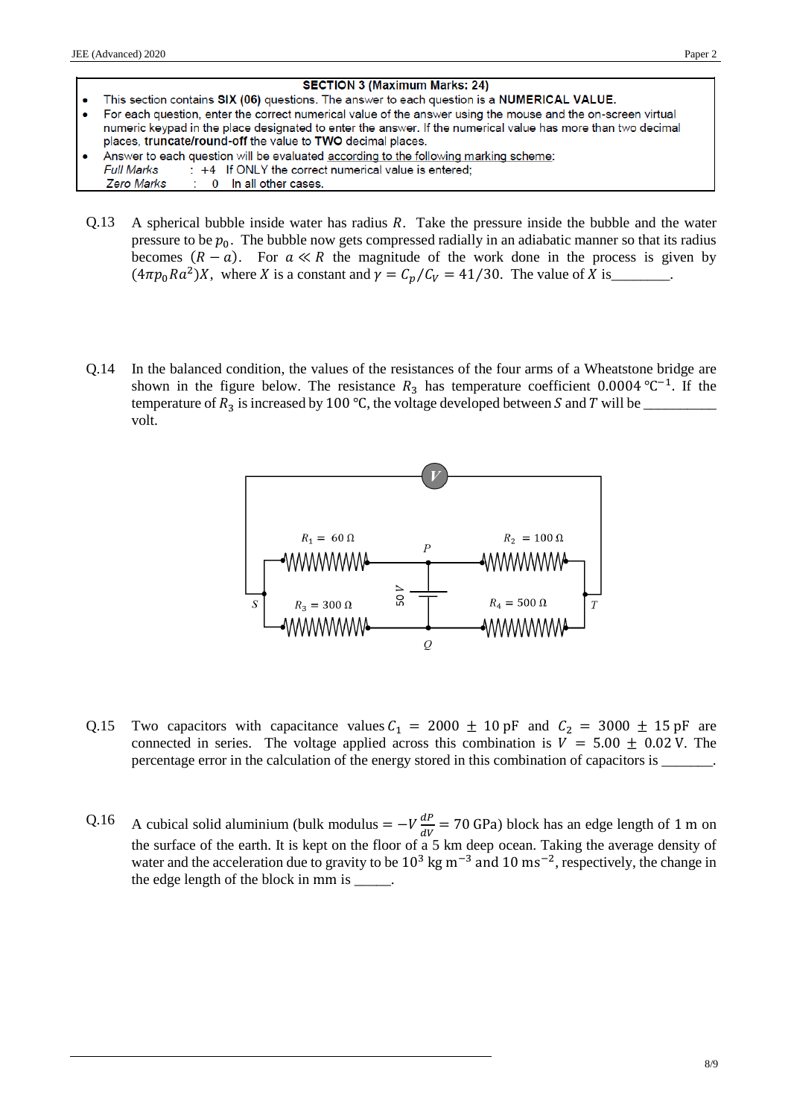

- $Q.13$  A spherical bubble inside water has radius  $R$ . Take the pressure inside the bubble and the water pressure to be  $p_0$ . The bubble now gets compressed radially in an adiabatic manner so that its radius becomes  $(R - a)$ . For  $a \ll R$  the magnitude of the work done in the process is given by  $(4\pi p_0 Ra^2)X$ , where X is a constant and  $\gamma = C_p/C_V = 41/30$ . The value of X is\_\_\_\_\_\_\_.
- Q.14 In the balanced condition, the values of the resistances of the four arms of a Wheatstone bridge are shown in the figure below. The resistance  $R_3$  has temperature coefficient 0.0004 °C<sup>-1</sup>. If the temperature of  $R_3$  is increased by 100 °C, the voltage developed between S and T will be \_\_\_\_\_\_\_\_\_\_\_\_\_\_\_\_\_\_\_ volt.



- Q.15 Two capacitors with capacitance values  $C_1 = 2000 \pm 10 \text{ pF}$  and  $C_2 = 3000 \pm 15 \text{ pF}$  are connected in series. The voltage applied across this combination is  $V = 5.00 \pm 0.02$  V. The percentage error in the calculation of the energy stored in this combination of capacitors is
- Q.16 A cubical solid aluminium (bulk modulus =  $-V\frac{dP}{dV}$  $\frac{dr}{dv}$  = 70 GPa) block has an edge length of 1 m on the surface of the earth. It is kept on the floor of a 5 km deep ocean. Taking the average density of water and the acceleration due to gravity to be  $10^3$  kg m<sup>-3</sup> and  $10 \text{ ms}^{-2}$ , respectively, the change in the edge length of the block in mm is \_\_\_\_\_.